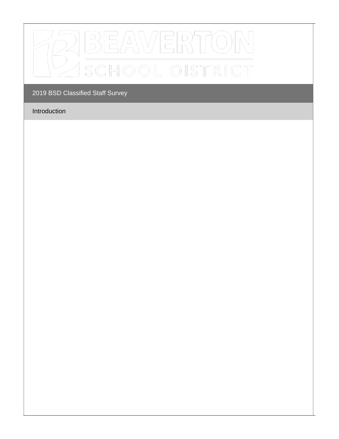

# Introduction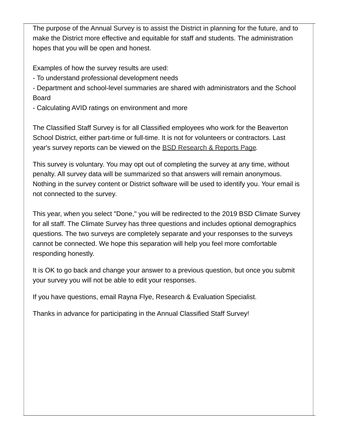The purpose of the Annual Survey is to assist the District in planning for the future, and to make the District more effective and equitable for staff and students. The administration hopes that you will be open and honest.

Examples of how the survey results are used:

- To understand professional development needs

- Department and school-level summaries are shared with administrators and the School Board

- Calculating AVID ratings on environment and more

The Classified Staff Survey is for all Classified employees who work for the Beaverton School District, either part-time or full-time. It is not for volunteers or contractors. Last year's survey reports can be viewed on the BSD [Research](https://www.beaverton.k12.or.us/district/research-reports) & Reports Page.

This survey is voluntary. You may opt out of completing the survey at any time, without penalty. All survey data will be summarized so that answers will remain anonymous. Nothing in the survey content or District software will be used to identify you. Your email is not connected to the survey.

This year, when you select "Done," you will be redirected to the 2019 BSD Climate Survey for all staff. The Climate Survey has three questions and includes optional demographics questions. The two surveys are completely separate and your responses to the surveys cannot be connected. We hope this separation will help you feel more comfortable responding honestly.

It is OK to go back and change your answer to a previous question, but once you submit your survey you will not be able to edit your responses.

If you have questions, email Rayna Flye, Research & Evaluation Specialist.

Thanks in advance for participating in the Annual Classified Staff Survey!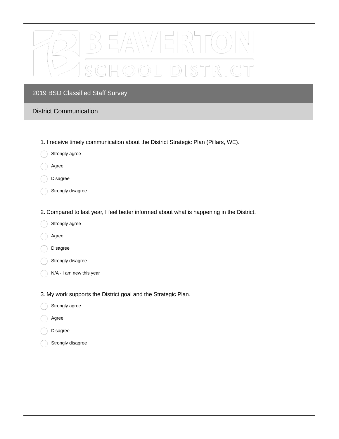

### District Communication

- 1. I receive timely communication about the District Strategic Plan (Pillars, WE).
- Strongly agree
- Agree
- Disagree
- Strongly disagree
- 2. Compared to last year, I feel better informed about what is happening in the District.
- Strongly agree
- Agree
- Disagree
- Strongly disagree
- N/A I am new this year

3. My work supports the District goal and the Strategic Plan.

- Strongly agree
- Agree
- Disagree
	- Strongly disagree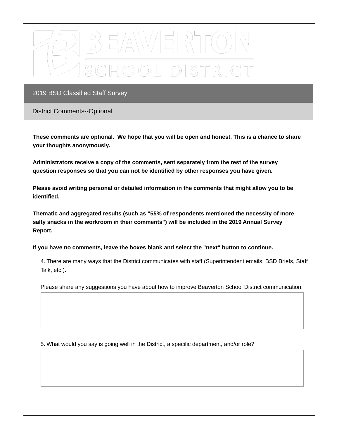

District Comments--Optional

These comments are optional. We hope that you will be open and honest. This is a chance to share **your thoughts anonymously.**

**Administrators receive a copy of the comments, sent separately from the rest of the survey question responses so that you can not be identified by other responses you have given.**

**Please avoid writing personal or detailed information in the comments that might allow you to be identified.**

**Thematic and aggregated results (such as "55% of respondents mentioned the necessity of more salty snacks in the workroom in their comments") will be included in the 2019 Annual Survey Report.**

**If you have no comments, leave the boxes blank and select the "next" button to continue.**

4. There are many ways that the District communicates with staff (Superintendent emails, BSD Briefs, Staff Talk, etc.).

Please share any suggestions you have about how to improve Beaverton School District communication.

5. What would you say is going well in the District, a specific department, and/or role?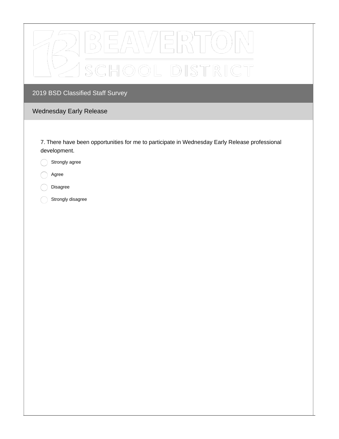| AWERT<br>$\overline{\phantom{a}}$ / |  |
|-------------------------------------|--|
| SCHOOL DISTRICT                     |  |

# Wednesday Early Release

7. There have been opportunities for me to participate in Wednesday Early Release professional development.

Strongly agree  $( )$ 

Agree

Disagree

Strongly disagree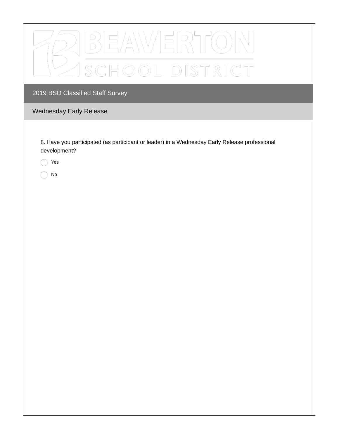

# Wednesday Early Release

8. Have you participated (as participant or leader) in a Wednesday Early Release professional development?

Yes

No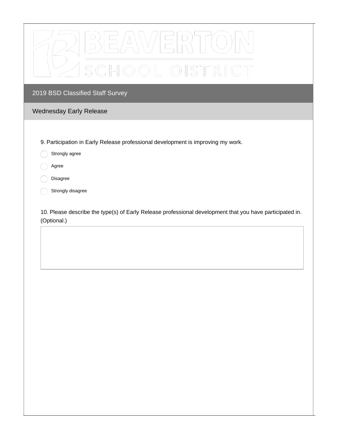

## Wednesday Early Release

9. Participation in Early Release professional development is improving my work.

- Strongly agree
- Agree
- Disagree
- Strongly disagree

10. Please describe the type(s) of Early Release professional development that you have participated in. (Optional.)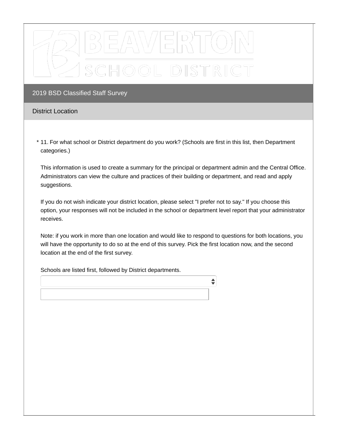

### District Location

11. For what school or District department do you work? (Schools are first in this list, then Department \*categories.)

This information is used to create a summary for the principal or department admin and the Central Office. Administrators can view the culture and practices of their building or department, and read and apply suggestions.

If you do not wish indicate your district location, please select "I prefer not to say." If you choose this option, your responses will not be included in the school or department level report that your administrator receives.

Note: if you work in more than one location and would like to respond to questions for both locations, you will have the opportunity to do so at the end of this survey. Pick the first location now, and the second location at the end of the first survey.

♦

Schools are listed first, followed by District departments.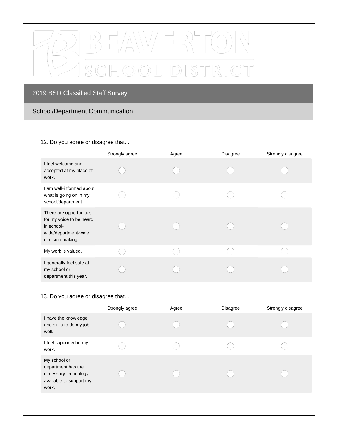

# School/Department Communication

#### 12. Do you agree or disagree that...

|                                                                                                               | Strongly agree | Agree | <b>Disagree</b> | Strongly disagree |
|---------------------------------------------------------------------------------------------------------------|----------------|-------|-----------------|-------------------|
| I feel welcome and<br>accepted at my place of<br>work.                                                        |                |       |                 |                   |
| I am well-informed about<br>what is going on in my<br>school/department.                                      |                |       |                 |                   |
| There are opportunities<br>for my voice to be heard<br>in school-<br>wide/department-wide<br>decision-making. |                |       |                 |                   |
| My work is valued.                                                                                            |                |       |                 |                   |
| I generally feel safe at<br>my school or<br>department this year.                                             |                |       |                 |                   |

## 13. Do you agree or disagree that...

|                                                                                                | Strongly agree | Agree | <b>Disagree</b> | Strongly disagree |
|------------------------------------------------------------------------------------------------|----------------|-------|-----------------|-------------------|
| I have the knowledge<br>and skills to do my job<br>well.                                       |                |       |                 |                   |
| I feel supported in my<br>work.                                                                |                |       |                 |                   |
| My school or<br>department has the<br>necessary technology<br>available to support my<br>work. |                |       |                 |                   |
|                                                                                                |                |       |                 |                   |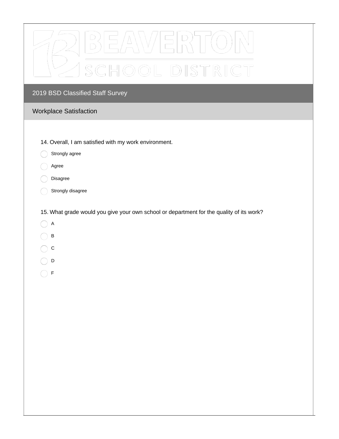| E[R]            |  |
|-----------------|--|
| SCHOOL DISTRICT |  |

## Workplace Satisfaction

- 14. Overall, I am satisfied with my work environment.
- Strongly agree  $\bigcirc$
- $\bigcirc$ Agree
- Disagree
- Strongly disagree
- 15. What grade would you give your own school or department for the quality of its work?
- $\bigcirc$  A
- $\bigcirc$  B
- $\bigcirc$  c
- $\bigcirc$  D
- $\bigcap$  F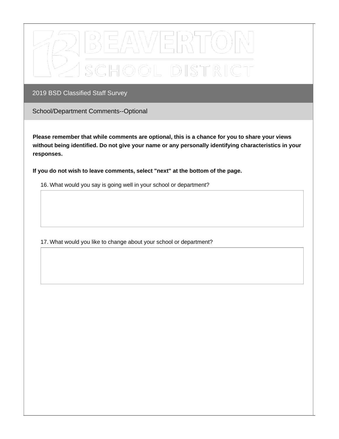

School/Department Comments--Optional

**Please remember that while comments are optional, this is a chance for you to share your views without being identified. Do not give your name or any personally identifying characteristics in your responses.**

**If you do not wish to leave comments, select "next" at the bottom of the page.**

16. What would you say is going well in your school or department?

17. What would you like to change about your school or department?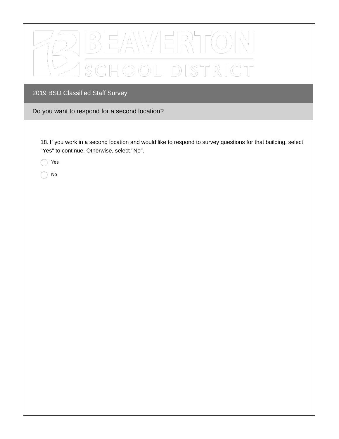| $\Delta \setminus \setminus \setminus / \mid$<br>CHOOL DISTRICT                                                                                                         |
|-------------------------------------------------------------------------------------------------------------------------------------------------------------------------|
| 2019 BSD Classified Staff Survey                                                                                                                                        |
| Do you want to respond for a second location?                                                                                                                           |
| 18. If you work in a second location and would like to respond to survey questions for that building, select<br>"Yes" to continue. Otherwise, select "No".<br>Yes<br>No |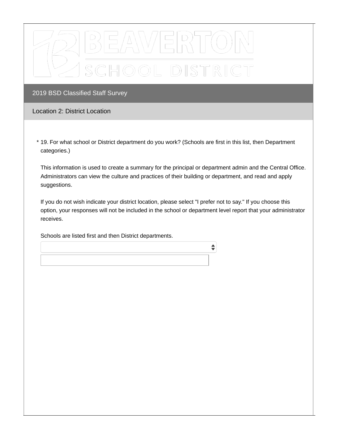

### Location 2: District Location

19. For what school or District department do you work? (Schools are first in this list, then Department \*categories.)

This information is used to create a summary for the principal or department admin and the Central Office. Administrators can view the culture and practices of their building or department, and read and apply suggestions.

If you do not wish indicate your district location, please select "I prefer not to say." If you choose this option, your responses will not be included in the school or department level report that your administrator receives.

 $\div$ 

Schools are listed first and then District departments.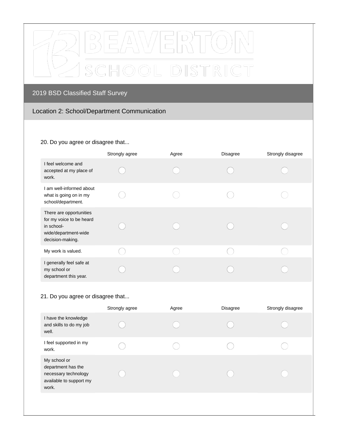

## Location 2: School/Department Communication

#### 20. Do you agree or disagree that...

|                                                                                                               | Strongly agree | Agree | <b>Disagree</b> | Strongly disagree |
|---------------------------------------------------------------------------------------------------------------|----------------|-------|-----------------|-------------------|
| I feel welcome and<br>accepted at my place of<br>work.                                                        |                |       |                 |                   |
| I am well-informed about<br>what is going on in my<br>school/department.                                      |                |       |                 |                   |
| There are opportunities<br>for my voice to be heard<br>in school-<br>wide/department-wide<br>decision-making. |                |       |                 |                   |
| My work is valued.                                                                                            |                |       |                 |                   |
| I generally feel safe at<br>my school or<br>department this year.                                             |                |       |                 |                   |

## 21. Do you agree or disagree that...

|                                                                                                | Strongly agree | Agree | <b>Disagree</b> | Strongly disagree |
|------------------------------------------------------------------------------------------------|----------------|-------|-----------------|-------------------|
| I have the knowledge<br>and skills to do my job<br>well.                                       |                |       |                 |                   |
| I feel supported in my<br>work.                                                                |                |       |                 |                   |
| My school or<br>department has the<br>necessary technology<br>available to support my<br>work. |                |       |                 |                   |
|                                                                                                |                |       |                 |                   |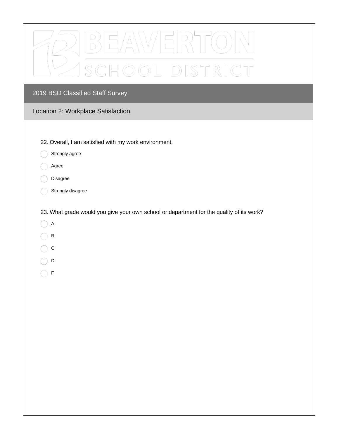| SCHOOL DISTRICT                                                                          |
|------------------------------------------------------------------------------------------|
| 2019 BSD Classified Staff Survey                                                         |
| Location 2: Workplace Satisfaction                                                       |
|                                                                                          |
| 22. Overall, I am satisfied with my work environment.                                    |
| Strongly agree                                                                           |
| Agree                                                                                    |
| Disagree                                                                                 |
| Strongly disagree                                                                        |
| 23. What grade would you give your own school or department for the quality of its work? |
| A                                                                                        |
| $\sf B$                                                                                  |
| $\mathsf C$                                                                              |
| D                                                                                        |
| F                                                                                        |
|                                                                                          |
|                                                                                          |
|                                                                                          |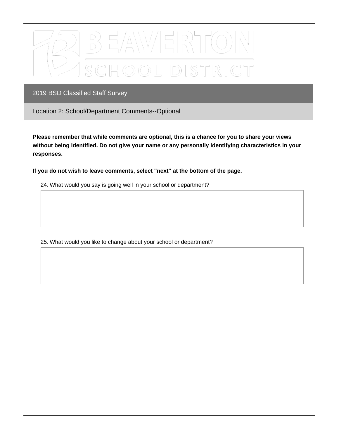

Location 2: School/Department Comments--Optional

**Please remember that while comments are optional, this is a chance for you to share your views without being identified. Do not give your name or any personally identifying characteristics in your responses.**

**If you do not wish to leave comments, select "next" at the bottom of the page.**

24. What would you say is going well in your school or department?

25. What would you like to change about your school or department?